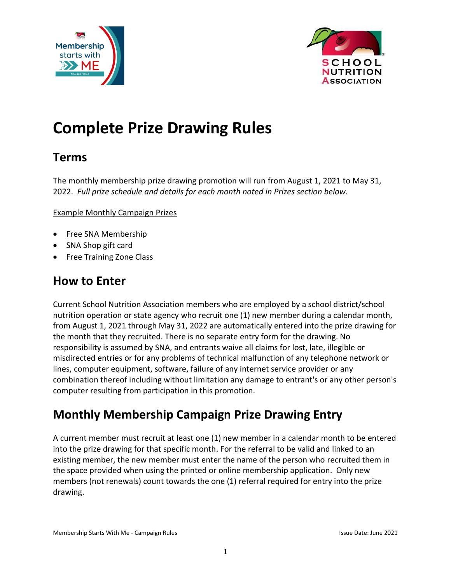



# **Complete Prize Drawing Rules**

#### **Terms**

The monthly membership prize drawing promotion will run from August 1, 2021 to May 31, 2022. *Full prize schedule and details for each month noted in Prizes section below.*

#### Example Monthly Campaign Prizes

- Free SNA Membership
- SNA Shop gift card
- Free Training Zone Class

#### **How to Enter**

Current School Nutrition Association members who are employed by a school district/school nutrition operation or state agency who recruit one (1) new member during a calendar month, from August 1, 2021 through May 31, 2022 are automatically entered into the prize drawing for the month that they recruited. There is no separate entry form for the drawing. No responsibility is assumed by SNA, and entrants waive all claims for lost, late, illegible or misdirected entries or for any problems of technical malfunction of any telephone network or lines, computer equipment, software, failure of any internet service provider or any combination thereof including without limitation any damage to entrant's or any other person's computer resulting from participation in this promotion.

#### **Monthly Membership Campaign Prize Drawing Entry**

A current member must recruit at least one (1) new member in a calendar month to be entered into the prize drawing for that specific month. For the referral to be valid and linked to an existing member, the new member must enter the name of the person who recruited them in the space provided when using the printed or online membership application. Only new members (not renewals) count towards the one (1) referral required for entry into the prize drawing.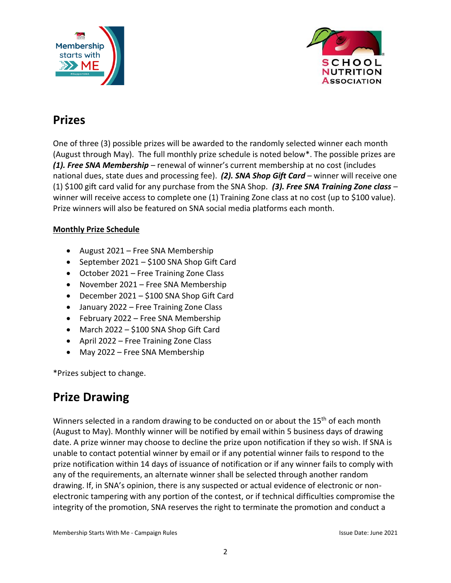



### **Prizes**

One of three (3) possible prizes will be awarded to the randomly selected winner each month (August through May). The full monthly prize schedule is noted below\*. The possible prizes are *(1). Free SNA Membership* – renewal of winner's current membership at no cost (includes national dues, state dues and processing fee). *(2). SNA Shop Gift Card* – winner will receive one (1) \$100 gift card valid for any purchase from the SNA Shop. *(3). Free SNA Training Zone class* – winner will receive access to complete one (1) Training Zone class at no cost (up to \$100 value). Prize winners will also be featured on SNA social media platforms each month.

#### **Monthly Prize Schedule**

- August 2021 Free SNA Membership
- September 2021 \$100 SNA Shop Gift Card
- October 2021 Free Training Zone Class
- November 2021 Free SNA Membership
- December 2021 \$100 SNA Shop Gift Card
- January 2022 Free Training Zone Class
- February 2022 Free SNA Membership
- March 2022 \$100 SNA Shop Gift Card
- April 2022 Free Training Zone Class
- May 2022 Free SNA Membership

\*Prizes subject to change.

### **Prize Drawing**

Winners selected in a random drawing to be conducted on or about the 15<sup>th</sup> of each month (August to May). Monthly winner will be notified by email within 5 business days of drawing date. A prize winner may choose to decline the prize upon notification if they so wish. If SNA is unable to contact potential winner by email or if any potential winner fails to respond to the prize notification within 14 days of issuance of notification or if any winner fails to comply with any of the requirements, an alternate winner shall be selected through another random drawing. If, in SNA's opinion, there is any suspected or actual evidence of electronic or nonelectronic tampering with any portion of the contest, or if technical difficulties compromise the integrity of the promotion, SNA reserves the right to terminate the promotion and conduct a